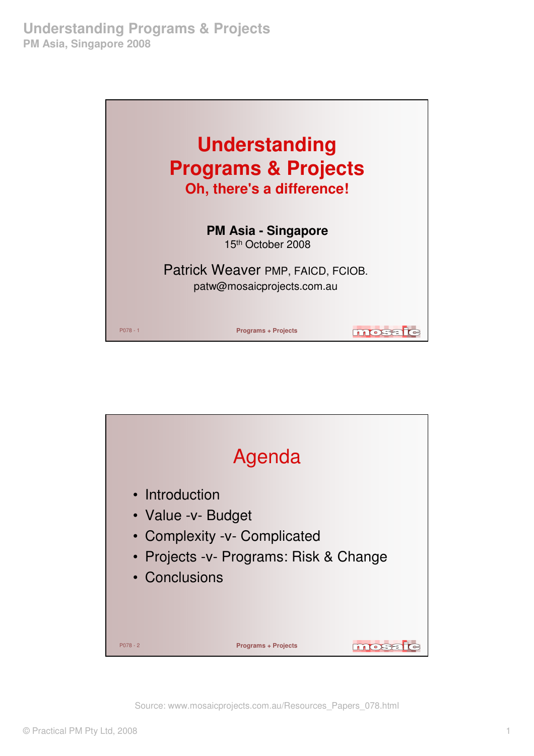

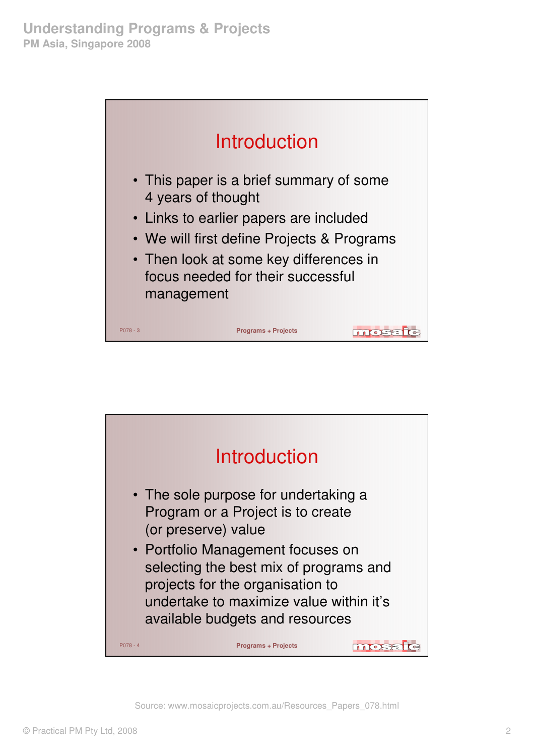

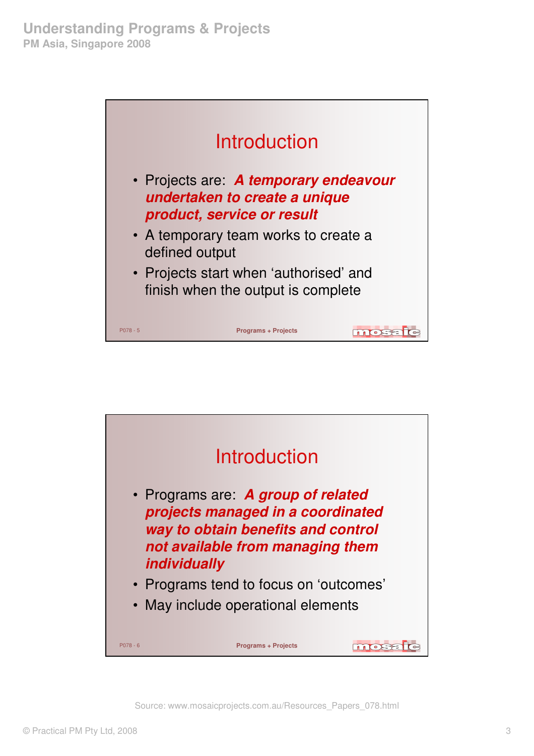

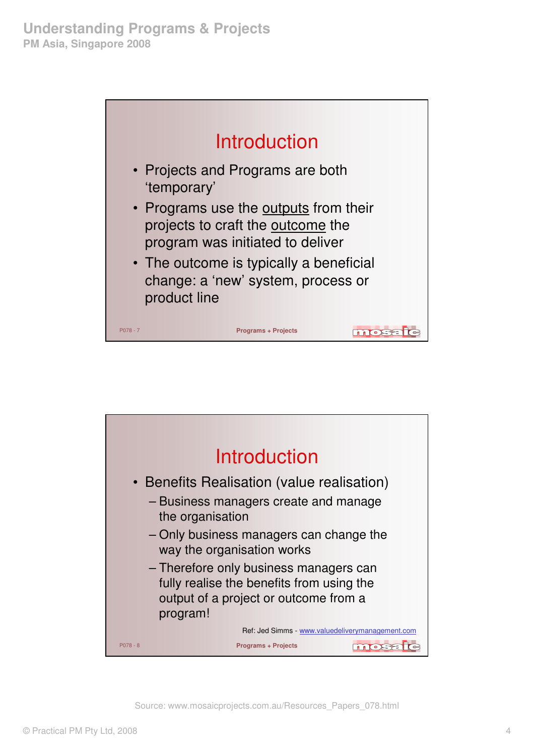

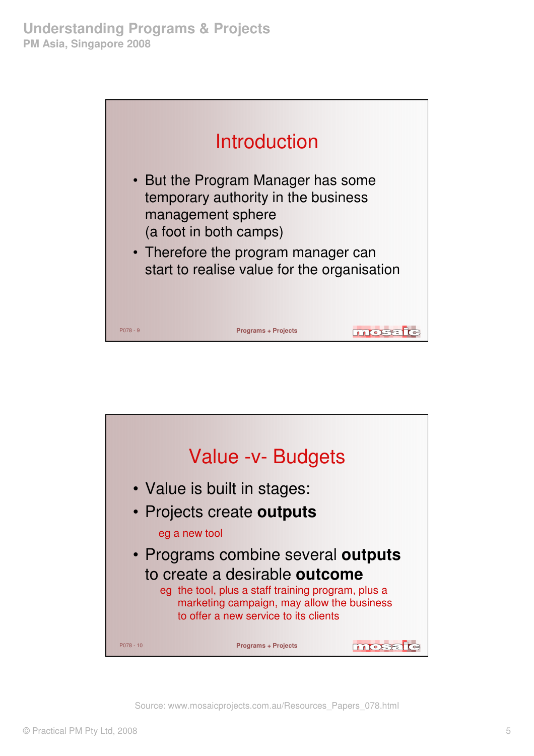

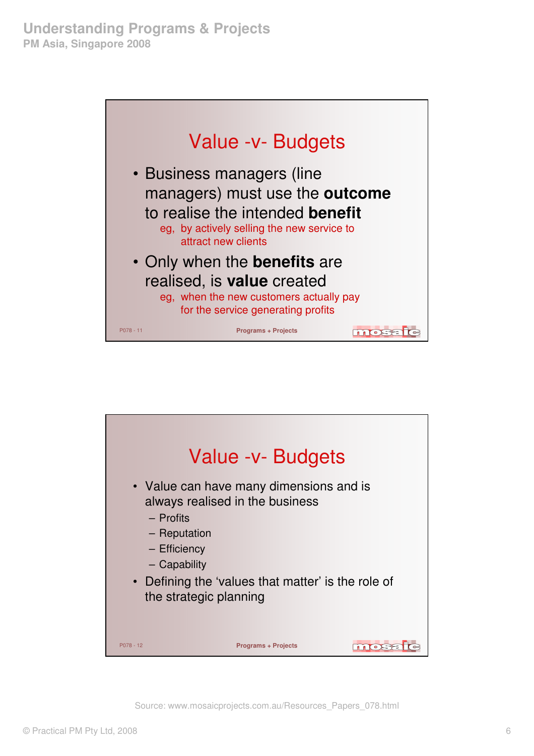

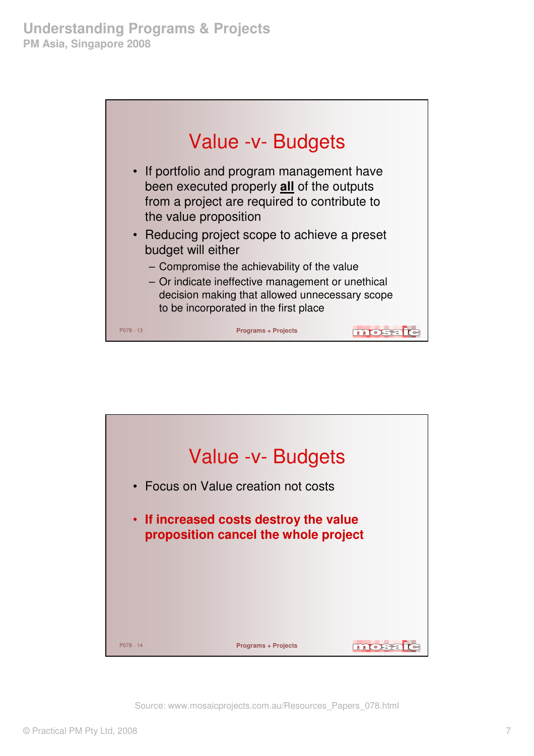

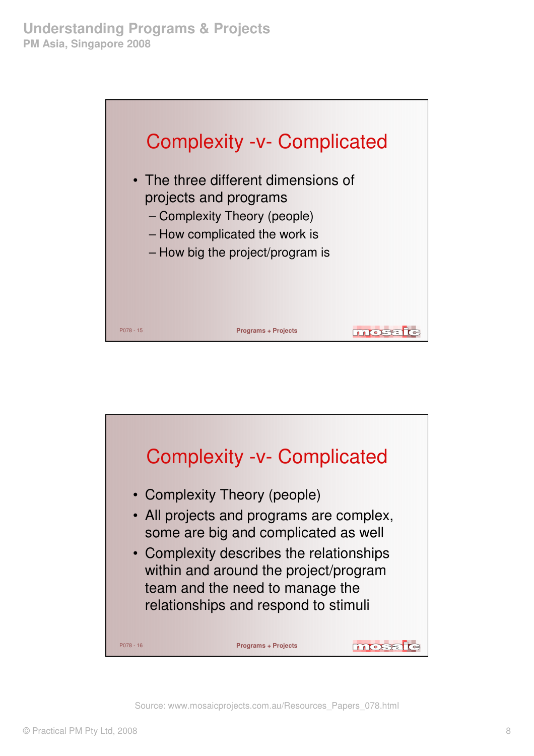

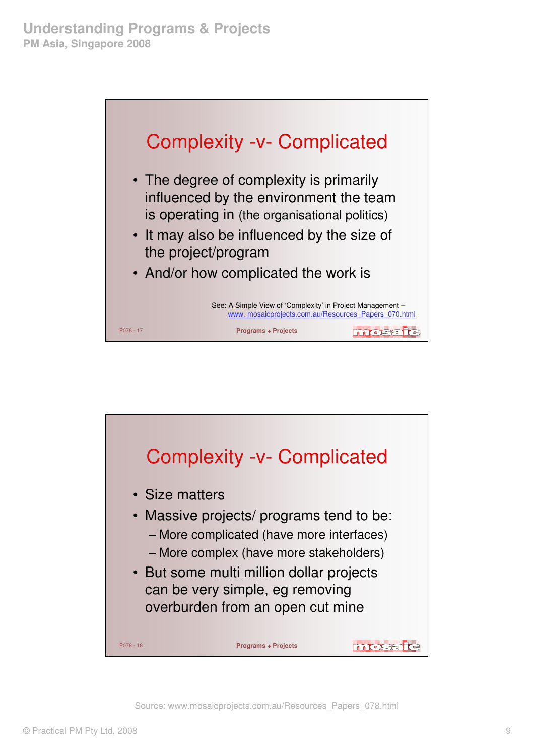

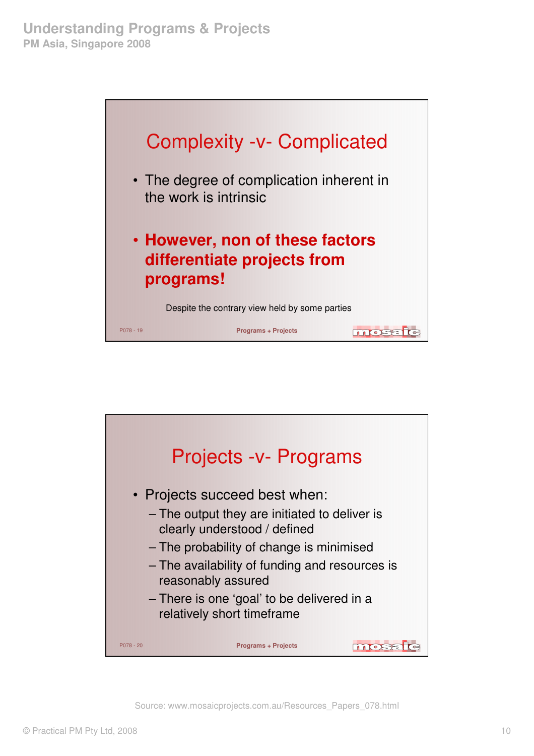

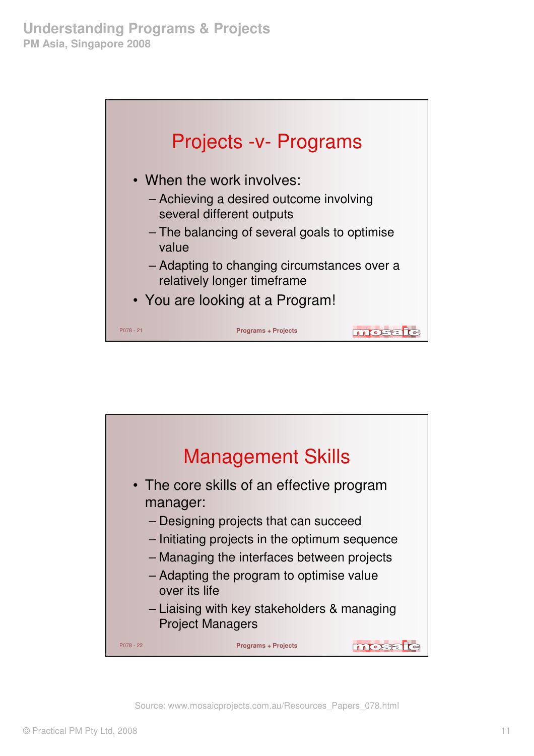

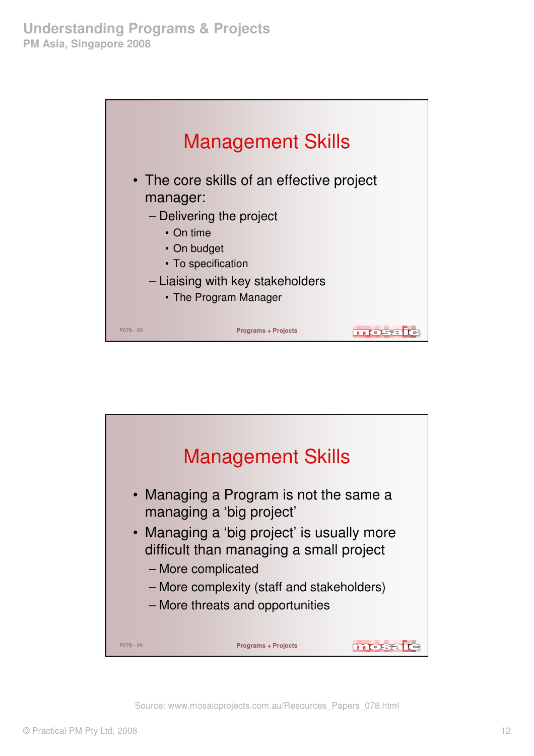

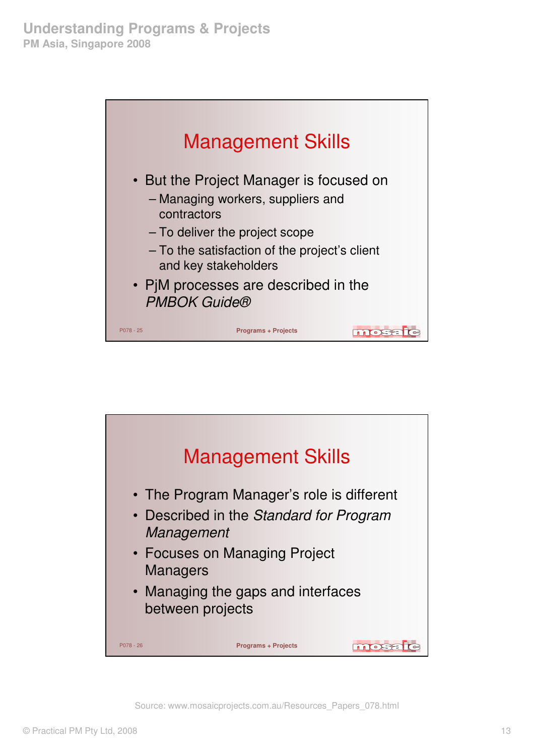

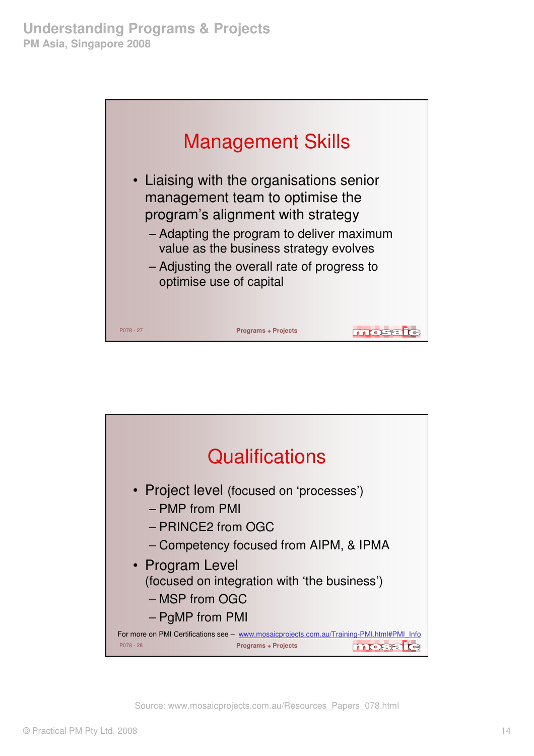

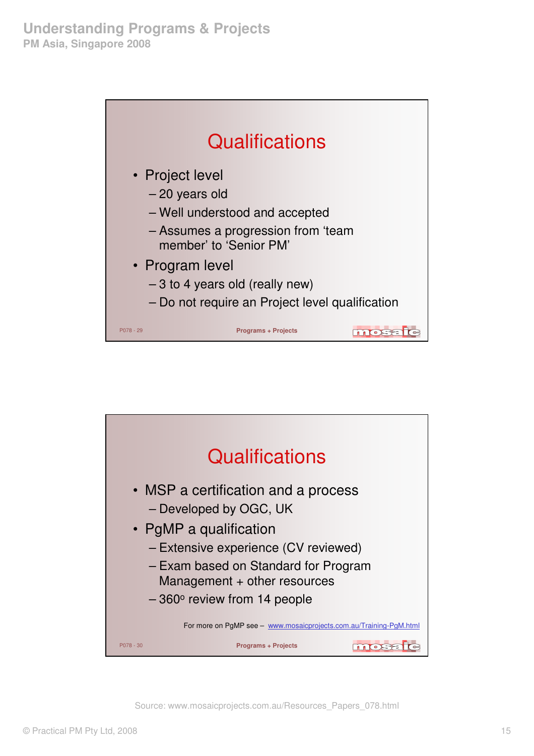

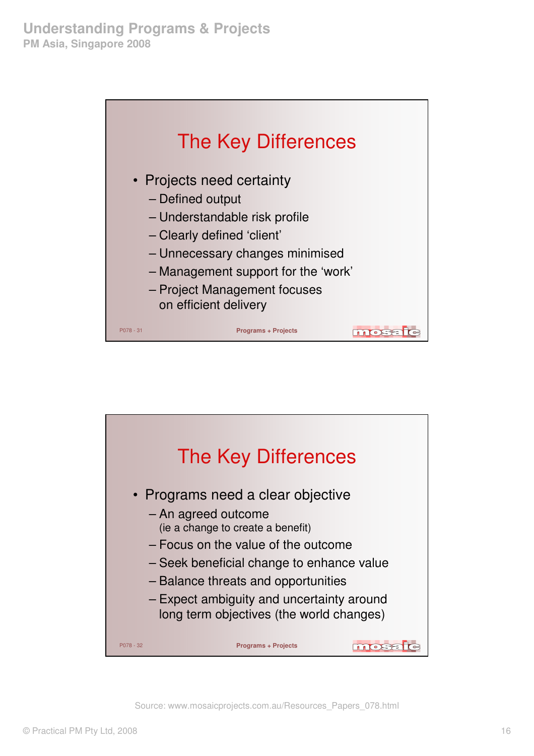

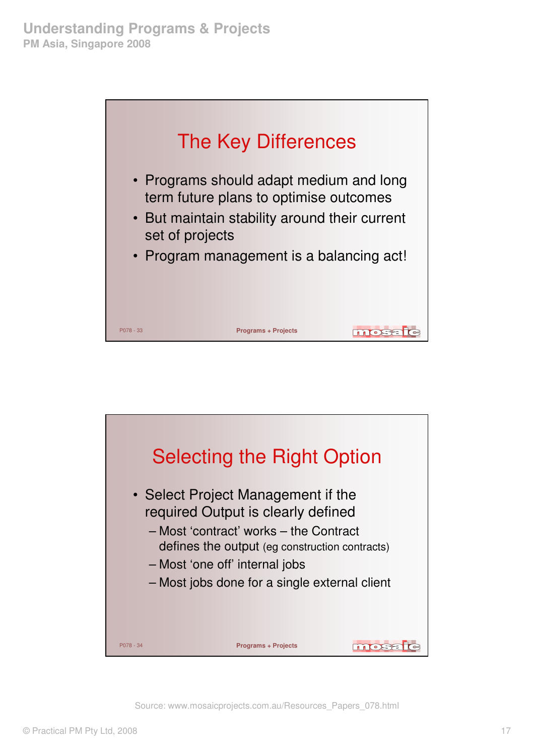

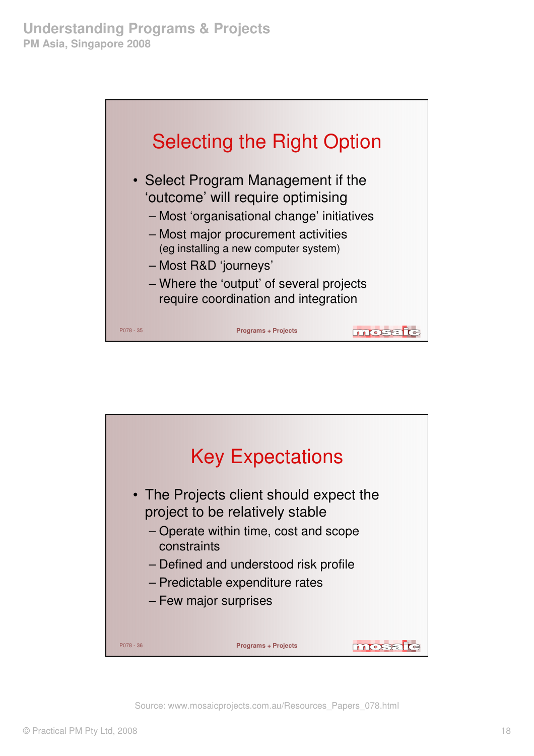

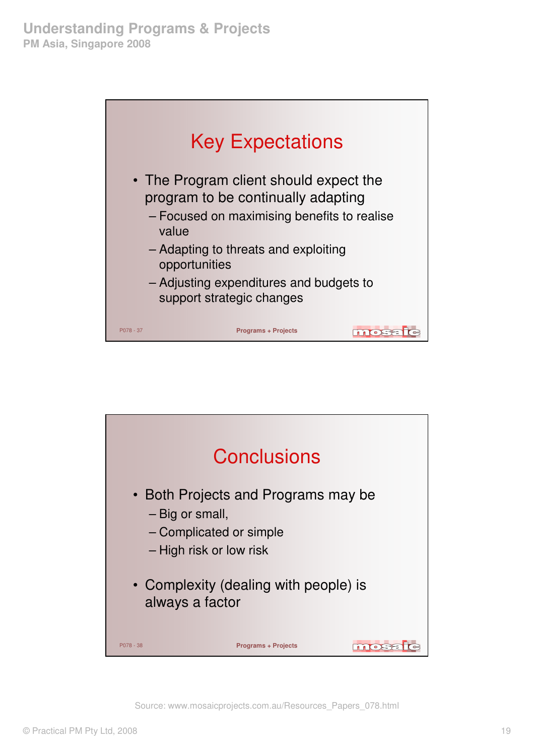

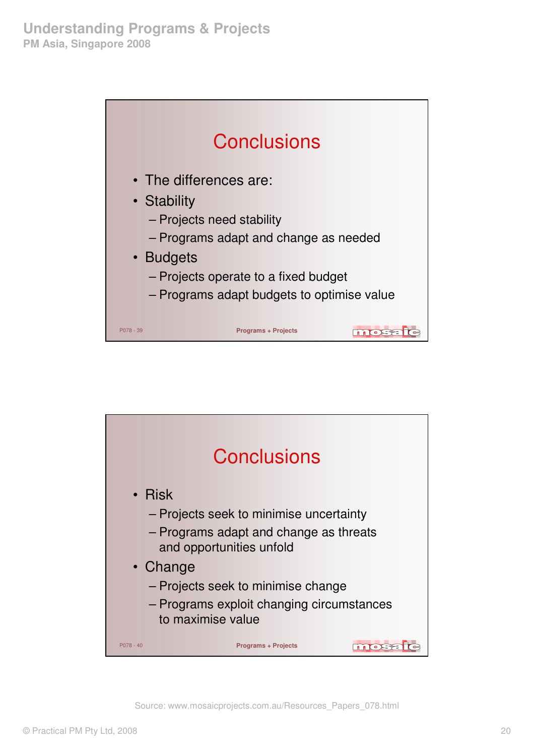